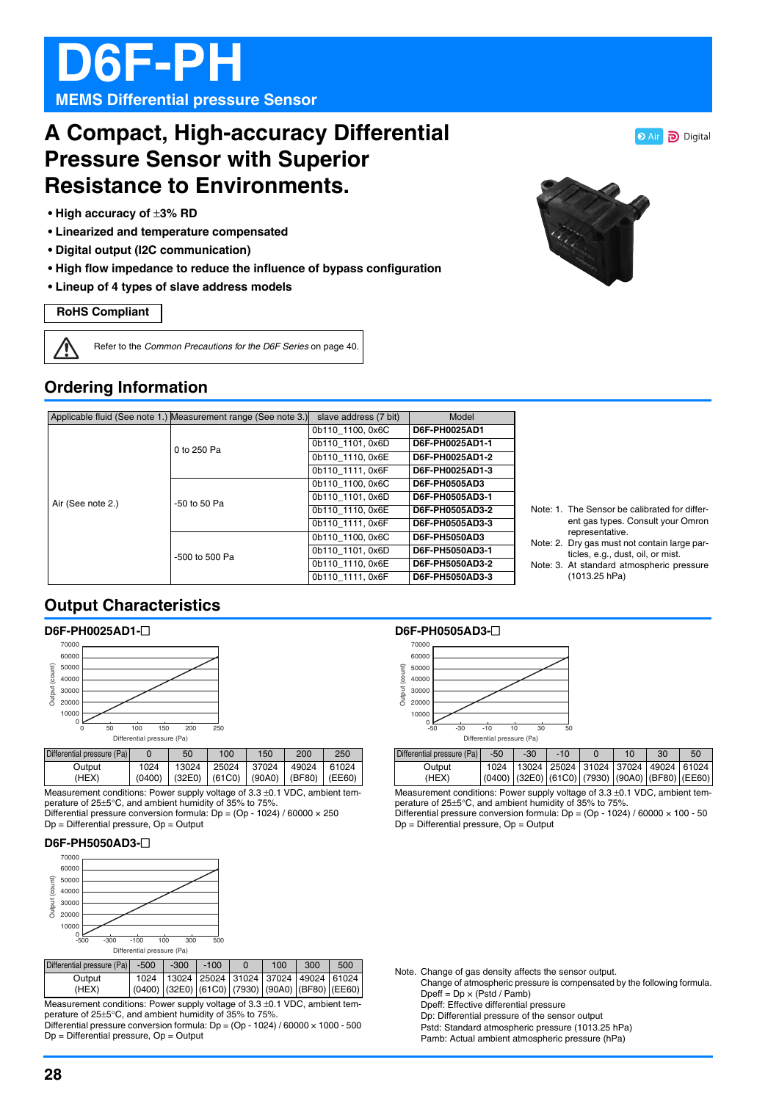# **D6F-PH MEMS Differential pressure Sensor**

# **A Compact, High-accuracy Differential Pressure Sensor with Superior Resistance to Environments.**

- **High accuracy of** ±**3% RD**
- **Linearized and temperature compensated**
- **Digital output (I2C communication)**
- **High flow impedance to reduce the influence of bypass configuration**
- **Lineup of 4 types of slave address models**

#### **RoHS Compliant**

Ţ Refer to the *Common Precautions for the D6F Series* on page 40.

# **Ordering Information**

|                   | Applicable fluid (See note 1.) Measurement range (See note 3.) | slave address (7 bit) | Model           |
|-------------------|----------------------------------------------------------------|-----------------------|-----------------|
|                   | 0 to 250 Pa                                                    | 0b110 1100, 0x6C      | D6F-PH0025AD1   |
|                   |                                                                | 0b110 1101.0x6D       | D6F-PH0025AD1-1 |
|                   |                                                                | 0b110 1110, 0x6E      | D6F-PH0025AD1-2 |
|                   |                                                                | 0b110 1111, 0x6F      | D6F-PH0025AD1-3 |
| Air (See note 2.) | -50 to 50 Pa                                                   | 0b110 1100, 0x6C      | D6F-PH0505AD3   |
|                   |                                                                | 0b110 1101.0x6D       | D6F-PH0505AD3-1 |
|                   |                                                                | 0b110 1110.0x6E       | D6F-PH0505AD3-2 |
|                   |                                                                | 0b110 1111, 0x6F      | D6F-PH0505AD3-3 |
|                   | -500 to 500 Pa                                                 | 0b110 1100, 0x6C      | D6F-PH5050AD3   |
|                   |                                                                | 0b110 1101, 0x6D      | D6F-PH5050AD3-1 |
|                   |                                                                | 0b110 1110.0x6E       | D6F-PH5050AD3-2 |
|                   |                                                                | 0b110 1111, 0x6F      | D6F-PH5050AD3-3 |

## **Output Characteristics**

#### **D6F-PH0025AD1-**@



| Differential pressure (Pa) |        | 50    | 100                        | 150   | 200                   | 250   |
|----------------------------|--------|-------|----------------------------|-------|-----------------------|-------|
| Output                     | 1024   | 13024 | 25024                      | 37024 | 49024                 | 61024 |
| (HEX)                      | (0400) |       | $(32E0)$ $(61C0)$ $(90A0)$ |       | $ $ (BF80) $ $ (EE60) |       |

Measurement conditions: Power supply voltage of 3.3 ±0.1 VDC, ambient temperature of 25±5°C, and ambient humidity of 35% to 75%.

Differential pressure conversion formula:  $Dp = (Op - 1024) / 60000 \times 250$ Dp = Differential pressure, Op = Output

#### **D6F-PH5050AD3-**@



| Differential pressure (Pa) -500                                                 |      | $-300$                                             | $-100$ |  | 100 | 300 | 500 |
|---------------------------------------------------------------------------------|------|----------------------------------------------------|--------|--|-----|-----|-----|
| Output                                                                          | 1024 | 13024   25024   31024   37024   49024   61024      |        |  |     |     |     |
| (HEX)                                                                           |      | $(0400)$ (32E0) (61C0) (7930) (90A0) (BF80) (EE60) |        |  |     |     |     |
| Measurement conditions: Power supply voltage of $3.3 \pm 0.1$ VDC, ambient tem- |      |                                                    |        |  |     |     |     |

perature of 25±5°C, and ambient humidity of 35% to 75%. Differential pressure conversion formula: Dp = (Op - 1024) / 60000 × 1000 - 500 Dp = Differential pressure, Op = Output

#### **D6F-PH0505AD3-**@



| Differential pressure (Pa) | $-50$ | $-30$ | $-10$                                                          | 10 | 30 | 50 |
|----------------------------|-------|-------|----------------------------------------------------------------|----|----|----|
| Output                     | 1024  |       | 13024   25024   31024   37024   49024   61024                  |    |    |    |
| (HEX)                      |       |       | $(0400)$ $(32E0)$ $(61C0)$ $(7930)$ $(90A0)$ $(BF80)$ $(EE60)$ |    |    |    |

Measurement conditions: Power supply voltage of 3.3 ±0.1 VDC, ambient temperature of 25±5°C, and ambient humidity of 35% to 75%.

Differential pressure conversion formula:  $Dp = (Op - 1024) / 60000 \times 100 - 50$ Dp = Differential pressure, Op = Output

Note. Change of gas density affects the sensor output. Change of atmospheric pressure is compensated by the following formula.  $D$ peff =  $Dp \times (Pstd / Pamb)$ Dpeff: Effective differential pressure Dp: Differential pressure of the sensor output Pstd: Standard atmospheric pressure (1013.25 hPa) Pamb: Actual ambient atmospheric pressure (hPa)



Digital

Note: 1. The Sensor be calibrated for different gas types. Consult your Omron representative.

- Note: 2. Dry gas must not contain large particles, e.g., dust, oil, or mist.
- Note: 3. At standard atmospheric pressure (1013.25 hPa)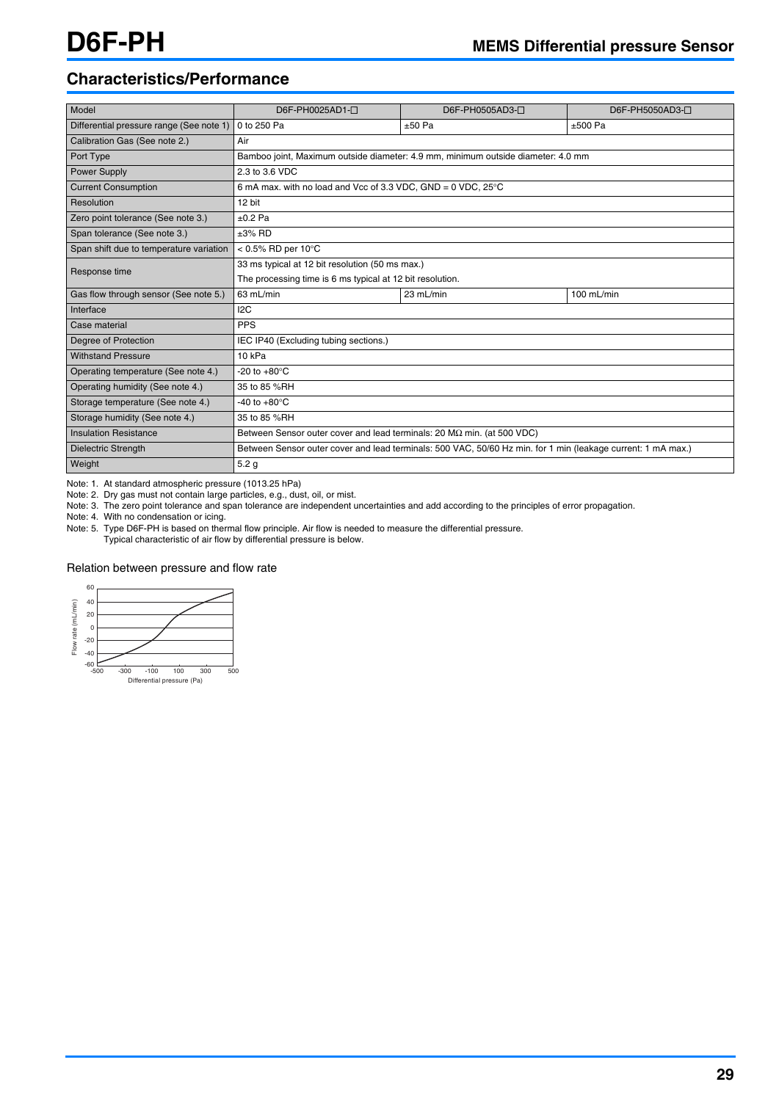# **Characteristics/Performance**

| Model                                    | D6F-PH0025AD1-0                                                                                              | D6F-PH0505AD3-0                                                                  | D6F-PH5050AD3- <sup>[]</sup> |  |  |  |  |
|------------------------------------------|--------------------------------------------------------------------------------------------------------------|----------------------------------------------------------------------------------|------------------------------|--|--|--|--|
| Differential pressure range (See note 1) | 0 to 250 Pa                                                                                                  | $±50$ Pa                                                                         | $±500$ Pa                    |  |  |  |  |
| Calibration Gas (See note 2.)            | Air                                                                                                          |                                                                                  |                              |  |  |  |  |
| Port Type                                |                                                                                                              | Bamboo joint, Maximum outside diameter: 4.9 mm, minimum outside diameter: 4.0 mm |                              |  |  |  |  |
| <b>Power Supply</b>                      | 2.3 to 3.6 VDC                                                                                               |                                                                                  |                              |  |  |  |  |
| <b>Current Consumption</b>               | 6 mA max. with no load and Vcc of 3.3 VDC, GND = $0$ VDC, $25^{\circ}$ C                                     |                                                                                  |                              |  |  |  |  |
| Resolution                               | 12 bit                                                                                                       |                                                                                  |                              |  |  |  |  |
| Zero point tolerance (See note 3.)       | $±0.2$ Pa                                                                                                    |                                                                                  |                              |  |  |  |  |
| Span tolerance (See note 3.)             | $\pm 3\%$ RD                                                                                                 |                                                                                  |                              |  |  |  |  |
| Span shift due to temperature variation  | < $0.5\%$ RD per 10 $^{\circ}$ C                                                                             |                                                                                  |                              |  |  |  |  |
| Response time                            | 33 ms typical at 12 bit resolution (50 ms max.)                                                              |                                                                                  |                              |  |  |  |  |
|                                          | The processing time is 6 ms typical at 12 bit resolution.                                                    |                                                                                  |                              |  |  |  |  |
| Gas flow through sensor (See note 5.)    | 63 mL/min                                                                                                    | 100 mL/min<br>23 mL/min                                                          |                              |  |  |  |  |
| Interface                                | 12C                                                                                                          |                                                                                  |                              |  |  |  |  |
| Case material                            | <b>PPS</b>                                                                                                   |                                                                                  |                              |  |  |  |  |
| Degree of Protection                     | IEC IP40 (Excluding tubing sections.)                                                                        |                                                                                  |                              |  |  |  |  |
| <b>Withstand Pressure</b>                | 10 <sub>kPa</sub>                                                                                            |                                                                                  |                              |  |  |  |  |
| Operating temperature (See note 4.)      | $-20$ to $+80^{\circ}$ C                                                                                     |                                                                                  |                              |  |  |  |  |
| Operating humidity (See note 4.)         | 35 to 85 %RH                                                                                                 |                                                                                  |                              |  |  |  |  |
| Storage temperature (See note 4.)        | -40 to $+80^{\circ}$ C                                                                                       |                                                                                  |                              |  |  |  |  |
| Storage humidity (See note 4.)           | 35 to 85 %RH                                                                                                 |                                                                                  |                              |  |  |  |  |
| <b>Insulation Resistance</b>             | Between Sensor outer cover and lead terminals: 20 $\text{M}\Omega$ min. (at 500 VDC)                         |                                                                                  |                              |  |  |  |  |
| <b>Dielectric Strength</b>               | Between Sensor outer cover and lead terminals: 500 VAC, 50/60 Hz min. for 1 min (leakage current: 1 mA max.) |                                                                                  |                              |  |  |  |  |
| Weight                                   | 5.2 <sub>g</sub>                                                                                             |                                                                                  |                              |  |  |  |  |

Note: 1. At standard atmospheric pressure (1013.25 hPa)

Note: 2. Dry gas must not contain large particles, e.g., dust, oil, or mist.

Note: 3. The zero point tolerance and span tolerance are independent uncertainties and add according to the principles of error propagation.

Note: 4. With no condensation or icing.

Note: 5. Type D6F-PH is based on thermal flow principle. Air flow is needed to measure the differential pressure.

Typical characteristic of air flow by differential pressure is below.

### Relation between pressure and flow rate